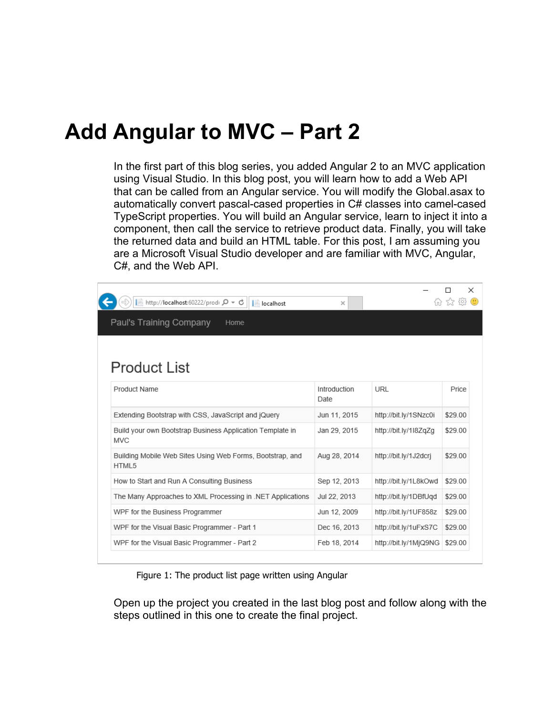## **Add Angular to MVC – Part 2**

In the first part of this blog series, you added Angular 2 to an MVC application using Visual Studio. In this blog post, you will learn how to add a Web API that can be called from an Angular service. You will modify the Global.asax to automatically convert pascal-cased properties in C# classes into camel-cased TypeScript properties. You will build an Angular service, learn to inject it into a component, then call the service to retrieve product data. Finally, you will take the returned data and build an HTML table. For this post, I am assuming you are a Microsoft Visual Studio developer and are familiar with MVC, Angular, C#, and the Web API.

| A http://localhost:60222/prodi Q - C<br>$\blacksquare$ localhost        | $\times$             |                       | $\times$ |
|-------------------------------------------------------------------------|----------------------|-----------------------|----------|
| Paul's Training Company<br>Home                                         |                      |                       |          |
|                                                                         |                      |                       |          |
| <b>Product List</b>                                                     |                      |                       |          |
| Product Name                                                            | Introduction<br>Date | URL                   | Price    |
| Extending Bootstrap with CSS, JavaScript and jQuery                     | Jun 11, 2015         | http://bit.ly/1SNzc0i | \$29.00  |
| Build your own Bootstrap Business Application Template in<br><b>MVC</b> | Jan 29, 2015         | http://bit.ly/1l8ZqZq | \$29.00  |
| Building Mobile Web Sites Using Web Forms, Bootstrap, and<br>HTML5      | Aug 28, 2014         | http://bit.lv/1J2dcri | \$29.00  |
| How to Start and Run A Consulting Business                              | Sep 12, 2013         | http://bit.ly/1L8kOwd | \$29.00  |
| The Many Approaches to XML Processing in .NET Applications              | Jul 22, 2013         | http://bit.ly/1DBfUgd | \$29.00  |
| WPF for the Business Programmer                                         | Jun 12, 2009         | http://bit.ly/1UF858z | \$29.00  |
| WPF for the Visual Basic Programmer - Part 1                            | Dec 16, 2013         | http://bit.ly/1uFxS7C | \$29.00  |
| WPF for the Visual Basic Programmer - Part 2                            | Feb 18, 2014         | http://bit.ly/1MjQ9NG | \$29.00  |

Figure 1: The product list page written using Angular

<span id="page-0-0"></span>Open up the project you created in the last blog post and follow along with the steps outlined in this one to create the final project.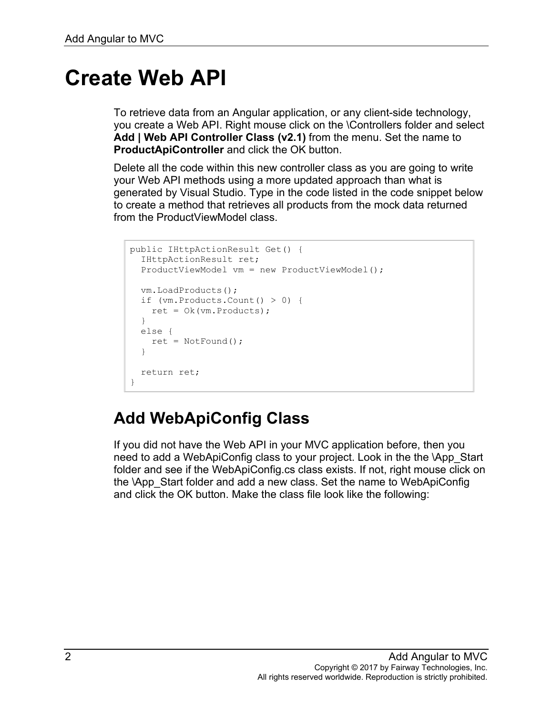## **Create Web API**

To retrieve data from an Angular application, or any client-side technology, you create a Web API. Right mouse click on the \Controllers folder and select **Add | Web API Controller Class (v2.1)** from the menu. Set the name to **ProductApiController** and click the OK button.

Delete all the code within this new controller class as you are going to write your Web API methods using a more updated approach than what is generated by Visual Studio. Type in the code listed in the code snippet below to create a method that retrieves all products from the mock data returned from the ProductViewModel class.

```
public IHttpActionResult Get() {
   IHttpActionResult ret;
   ProductViewModel vm = new ProductViewModel();
  vm.LoadProducts();
   if (vm.Products.Count() > 0) {
   ret = Ok(vm.Products);
  }
  else {
    ret = NotFound();
   }
  return ret;
}
```
## **Add WebApiConfig Class**

If you did not have the Web API in your MVC application before, then you need to add a WebApiConfig class to your project. Look in the the \App\_Start folder and see if the WebApiConfig.cs class exists. If not, right mouse click on the \App\_Start folder and add a new class. Set the name to WebApiConfig and click the OK button. Make the class file look like the following: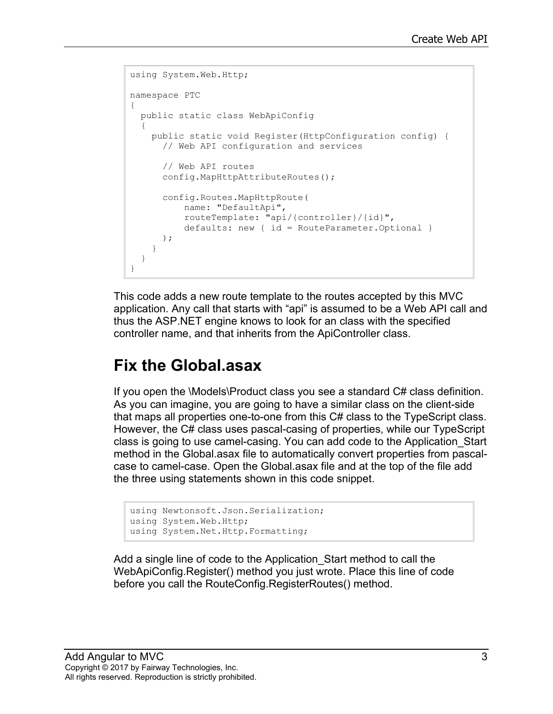```
using System.Web.Http;
namespace PTC
\mathcal{L} public static class WebApiConfig
   {
     public static void Register(HttpConfiguration config) {
       // Web API configuration and services
       // Web API routes
       config.MapHttpAttributeRoutes();
       config.Routes.MapHttpRoute(
           name: "DefaultApi",
           routeTemplate: "api/{controller}/{id}",
           defaults: new { id = RouteParameter.Optional }
       );
     }
   }
}
```
This code adds a new route template to the routes accepted by this MVC application. Any call that starts with "api" is assumed to be a Web API call and thus the ASP.NET engine knows to look for an class with the specified controller name, and that inherits from the ApiController class.

#### **Fix the Global.asax**

If you open the \Models\Product class you see a standard C# class definition. As you can imagine, you are going to have a similar class on the client-side that maps all properties one-to-one from this C# class to the TypeScript class. However, the C# class uses pascal-casing of properties, while our TypeScript class is going to use camel-casing. You can add code to the Application\_Start method in the Global.asax file to automatically convert properties from pascalcase to camel-case. Open the Global.asax file and at the top of the file add the three using statements shown in this code snippet.

```
using Newtonsoft.Json.Serialization;
using System.Web.Http;
using System.Net.Http.Formatting;
```
Add a single line of code to the Application\_Start method to call the WebApiConfig.Register() method you just wrote. Place this line of code before you call the RouteConfig.RegisterRoutes() method.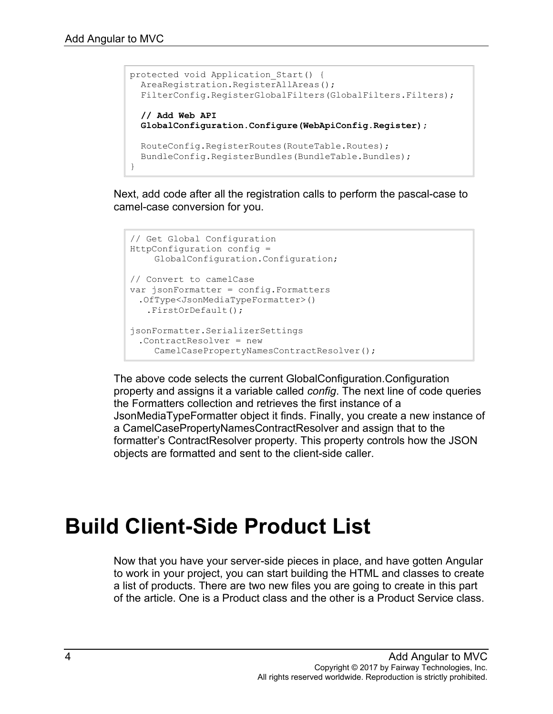```
protected void Application Start() {
 AreaRegistration.RegisterAllAreas();
 FilterConfig.RegisterGlobalFilters(GlobalFilters.Filters);
  // Add Web API
  GlobalConfiguration.Configure(WebApiConfig.Register);
  RouteConfig.RegisterRoutes(RouteTable.Routes);
  BundleConfig.RegisterBundles(BundleTable.Bundles); 
}
```
Next, add code after all the registration calls to perform the pascal-case to camel-case conversion for you.

```
// Get Global Configuration
HttpConfiguration config =
    GlobalConfiguration.Configuration;
// Convert to camelCase
var jsonFormatter = config.Formatters
 .OfType<JsonMediaTypeFormatter>()
   .FirstOrDefault();
jsonFormatter.SerializerSettings
 .ContractResolver = new
    CamelCasePropertyNamesContractResolver();
```
The above code selects the current GlobalConfiguration.Configuration property and assigns it a variable called *config*. The next line of code queries the Formatters collection and retrieves the first instance of a JsonMediaTypeFormatter object it finds. Finally, you create a new instance of a CamelCasePropertyNamesContractResolver and assign that to the formatter's ContractResolver property. This property controls how the JSON objects are formatted and sent to the client-side caller.

# **Build Client-Side Product List**

Now that you have your server-side pieces in place, and have gotten Angular to work in your project, you can start building the HTML and classes to create a list of products. There are two new files you are going to create in this part of the article. One is a Product class and the other is a Product Service class.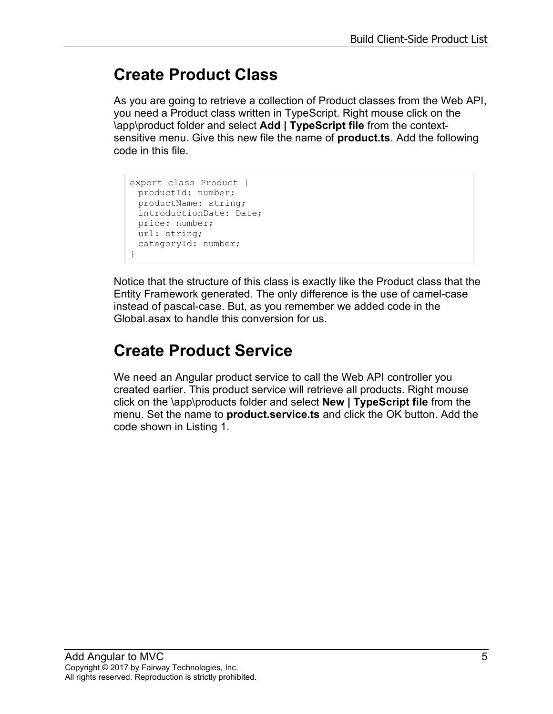## **Create Product Class**

As you are going to retrieve a collection of Product classes from the Web API, you need a Product class written in TypeScript. Right mouse click on the \app\product folder and select **Add | TypeScript file** from the contextsensitive menu. Give this new file the name of **product.ts**. Add the following code in this file.

```
export class Product {
 productId: number;
 productName: string;
 introductionDate: Date;
 price: number;
 url: string;
 categoryId: number;
}
```
Notice that the structure of this class is exactly like the Product class that the Entity Framework generated. The only difference is the use of camel-case instead of pascal-case. But, as you remember we added code in the Global.asax to handle this conversion for us.

## **Create Product Service**

We need an Angular product service to call the Web API controller you created earlier. This product service will retrieve all products. Right mouse click on the \app\products folder and select **New | TypeScript file** from the menu. Set the name to **product.service.ts** and click the OK button. Add the code shown in [Listing 1.](#page-5-0)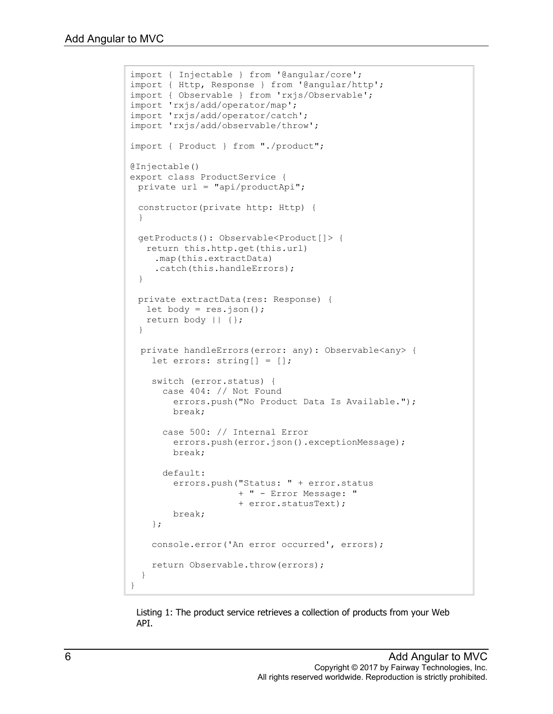```
import { Injectable } from '@angular/core';
import { Http, Response } from '@angular/http';
import { Observable } from 'rxjs/Observable';
import 'rxjs/add/operator/map';
import 'rxjs/add/operator/catch';
import 'rxjs/add/observable/throw';
import { Product } from "./product";
@Injectable()
export class ProductService {
 private url = "api/productApi";
 constructor(private http: Http) {
 }
 getProducts(): Observable<Product[]> {
  return this.http.get(this.url)
    .map(this.extractData)
    .catch(this.handleErrors);
 }
 private extractData(res: Response) {
  let body = res.json();
  return body || {};
 }
  private handleErrors(error: any): Observable<any> {
     let errors: string[] = [];
     switch (error.status) {
       case 404: // Not Found
         errors.push("No Product Data Is Available.");
        break;
       case 500: // Internal Error
         errors.push(error.json().exceptionMessage);
         break;
       default:
         errors.push("Status: " + error.status 
                     + " - Error Message: " 
                     + error.statusText);
         break;
     };
     console.error('An error occurred', errors);
     return Observable.throw(errors);
   }
}
```
<span id="page-5-0"></span>Listing 1: The product service retrieves a collection of products from your Web API.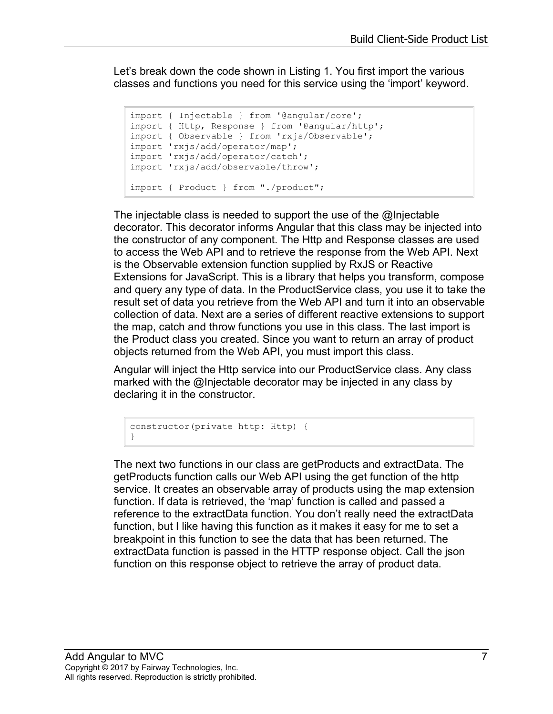Let's break down the code shown in Listing 1. You first import the various classes and functions you need for this service using the 'import' keyword.

```
import { Injectable } from '@angular/core';
import { Http, Response } from '@angular/http';
import { Observable } from 'rxjs/Observable';
import 'rxjs/add/operator/map';
import 'rxjs/add/operator/catch';
import 'rxjs/add/observable/throw';
import { Product } from "./product";
```
The injectable class is needed to support the use of the @Injectable decorator. This decorator informs Angular that this class may be injected into the constructor of any component. The Http and Response classes are used to access the Web API and to retrieve the response from the Web API. Next is the Observable extension function supplied by RxJS or Reactive Extensions for JavaScript. This is a library that helps you transform, compose and query any type of data. In the ProductService class, you use it to take the result set of data you retrieve from the Web API and turn it into an observable collection of data. Next are a series of different reactive extensions to support the map, catch and throw functions you use in this class. The last import is the Product class you created. Since you want to return an array of product objects returned from the Web API, you must import this class.

Angular will inject the Http service into our ProductService class. Any class marked with the @Injectable decorator may be injected in any class by declaring it in the constructor.

```
constructor(private http: Http) {
}
```
The next two functions in our class are getProducts and extractData. The getProducts function calls our Web API using the get function of the http service. It creates an observable array of products using the map extension function. If data is retrieved, the 'map' function is called and passed a reference to the extractData function. You don't really need the extractData function, but I like having this function as it makes it easy for me to set a breakpoint in this function to see the data that has been returned. The extractData function is passed in the HTTP response object. Call the json function on this response object to retrieve the array of product data.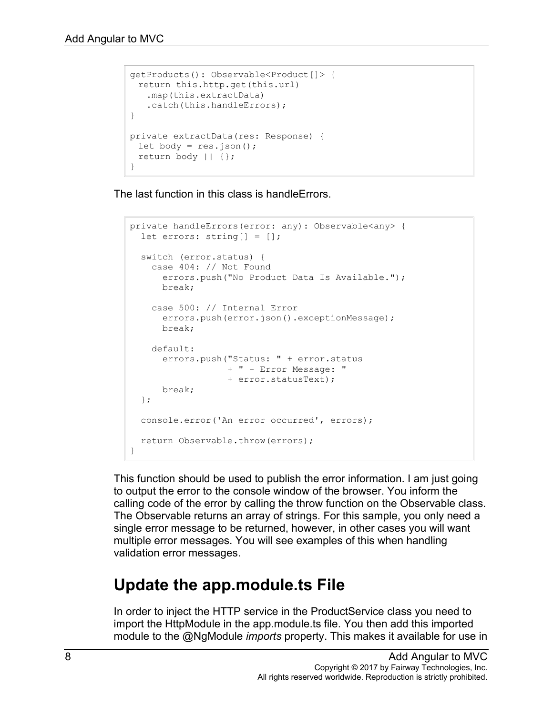```
getProducts(): Observable<Product[]> {
 return this.http.get(this.url)
   .map(this.extractData)
   .catch(this.handleErrors);
}
private extractData(res: Response) {
 let body = res.json();
 return body || {};
}
```
The last function in this class is handleErrors.

```
private handleErrors(error: any): Observable<any> {
  let errors: string[] = [];
   switch (error.status) {
    case 404: // Not Found
      errors.push("No Product Data Is Available.");
      break;
     case 500: // Internal Error
      errors.push(error.json().exceptionMessage);
      break;
     default:
       errors.push("Status: " + error.status 
                  + " - Error Message: " 
                   + error.statusText);
      break;
  };
  console.error('An error occurred', errors);
  return Observable.throw(errors);
}
```
This function should be used to publish the error information. I am just going to output the error to the console window of the browser. You inform the calling code of the error by calling the throw function on the Observable class. The Observable returns an array of strings. For this sample, you only need a single error message to be returned, however, in other cases you will want multiple error messages. You will see examples of this when handling validation error messages.

#### **Update the app.module.ts File**

In order to inject the HTTP service in the ProductService class you need to import the HttpModule in the app.module.ts file. You then add this imported module to the @NgModule *imports* property. This makes it available for use in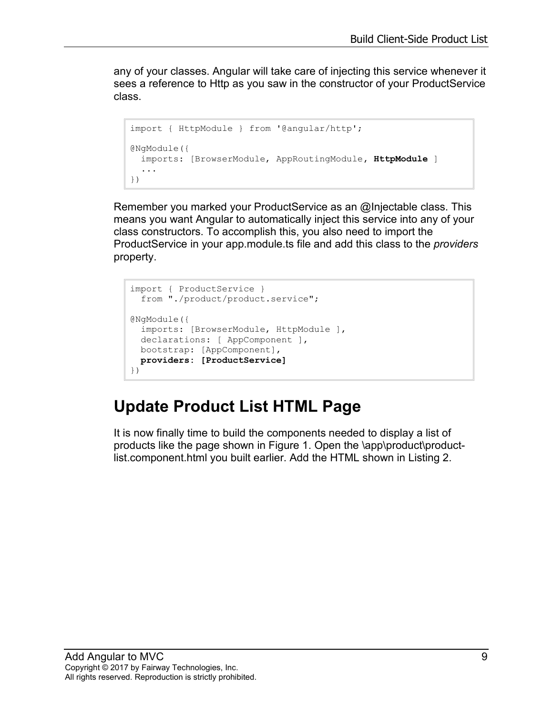any of your classes. Angular will take care of injecting this service whenever it sees a reference to Http as you saw in the constructor of your ProductService class.

```
import { HttpModule } from '@angular/http';
@NgModule({
  imports: [BrowserModule, AppRoutingModule, HttpModule ]
   ...
})
```
Remember you marked your ProductService as an @Injectable class. This means you want Angular to automatically inject this service into any of your class constructors. To accomplish this, you also need to import the ProductService in your app.module.ts file and add this class to the *providers* property.

```
import { ProductService } 
   from "./product/product.service";
@NgModule({
  imports: [BrowserModule, HttpModule ],
 declarations: [ AppComponent ],
  bootstrap: [AppComponent],
  providers: [ProductService]
})
```
## **Update Product List HTML Page**

It is now finally time to build the components needed to display a list of products like the page shown in [Figure 1.](#page-0-0) Open the \app\product\productlist.component.html you built earlier. Add the HTML shown in [Listing 2.](#page-9-0)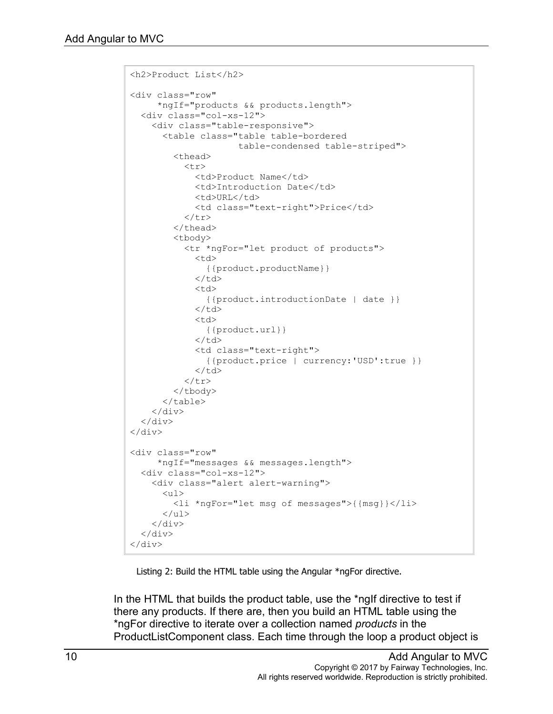```
<h2>Product List</h2>
<div class="row"
      *ngIf="products && products.length">
   <div class="col-xs-12">
     <div class="table-responsive">
        <table class="table table-bordered
                         table-condensed table-striped">
          <thead>
            <tr> <td>Product Name</td>
               <td>Introduction Date</td>
              <td>URL</td>
               <td class="text-right">Price</td>
            \langle/tr>
         </thead>
          <tbody>
             <tr *ngFor="let product of products">
               <td>
                  {{product.productName}}
              \langle t \rangle<td>
                  {{product.introductionDate | date }}
              \langle/td>
              <td> {{product.url}}
              \langle/td>
               <td class="text-right">
                  {{product.price | currency:'USD':true }}
              \langle t \rangle\langle/tr>
          </tbody>
        </table>
    \langle div>
  \langle/div\rangle\langle div>
<div class="row"
       *ngIf="messages && messages.length">
   <div class="col-xs-12">
     <div class="alert alert-warning">
       \langle u1\rangle <li *ngFor="let msg of messages">{{msg}}</li>
       \langle/ul>
    \langle div\rangle\langle/div\rangle\langlediv>
```
Listing 2: Build the HTML table using the Angular \*ngFor directive.

<span id="page-9-0"></span>In the HTML that builds the product table, use the \*ngIf directive to test if there any products. If there are, then you build an HTML table using the \*ngFor directive to iterate over a collection named *products* in the ProductListComponent class. Each time through the loop a product object is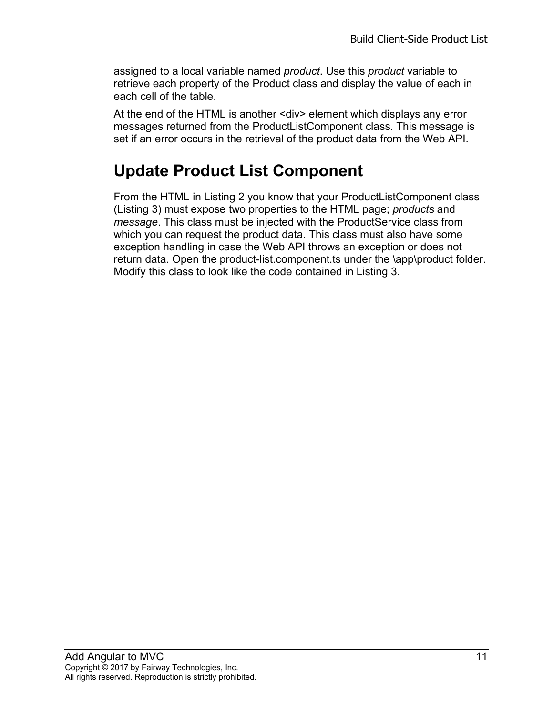assigned to a local variable named *product*. Use this *product* variable to retrieve each property of the Product class and display the value of each in each cell of the table.

At the end of the HTML is another <div> element which displays any error messages returned from the ProductListComponent class. This message is set if an error occurs in the retrieval of the product data from the Web API.

### **Update Product List Component**

From the HTML in [Listing 2](#page-9-0) you know that your ProductListComponent class [\(Listing 3\)](#page-11-0) must expose two properties to the HTML page; *products* and *message*. This class must be injected with the ProductService class from which you can request the product data. This class must also have some exception handling in case the Web API throws an exception or does not return data. Open the product-list.component.ts under the \app\product folder. Modify this class to look like the code contained in [Listing 3.](#page-11-0)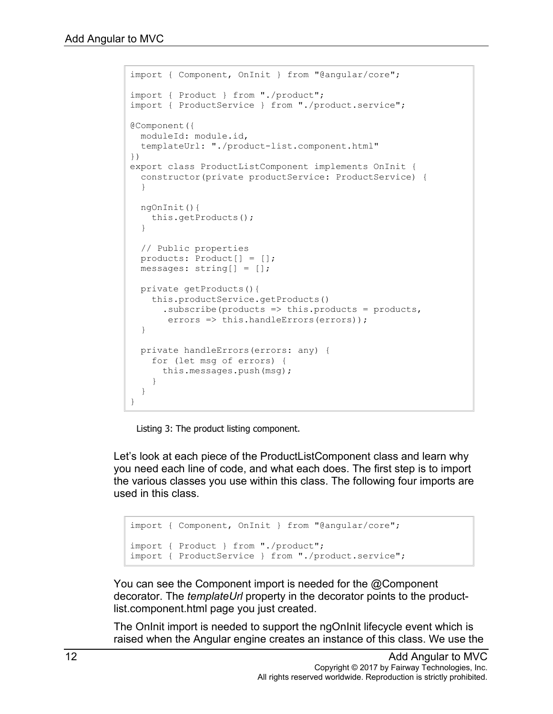```
import { Component, OnInit } from "@angular/core";
import { Product } from "./product";
import { ProductService } from "./product.service";
@Component({
  moduleId: module.id,
  templateUrl: "./product-list.component.html"
})
export class ProductListComponent implements OnInit {
  constructor(private productService: ProductService) {
   }
   ngOnInit(){
    this.getProducts();
   }
  // Public properties
  products: Product[] = [];
  messages: string[] = [];
  private getProducts(){
     this.productService.getProducts()
      . subscribe(products \Rightarrow this. products = products,
       errors \Rightarrow this.handleErrors(errors));
   }
  private handleErrors(errors: any) {
     for (let msg of errors) {
       this.messages.push(msg);
     }
   }
}
```
Listing 3: The product listing component.

<span id="page-11-0"></span>Let's look at each piece of the ProductListComponent class and learn why you need each line of code, and what each does. The first step is to import the various classes you use within this class. The following four imports are used in this class.

```
import { Component, OnInit } from "@angular/core";
import { Product } from "./product";
import { ProductService } from "./product.service";
```
You can see the Component import is needed for the @Component decorator. The *templateUrl* property in the decorator points to the productlist.component.html page you just created.

The OnInit import is needed to support the ngOnInit lifecycle event which is raised when the Angular engine creates an instance of this class. We use the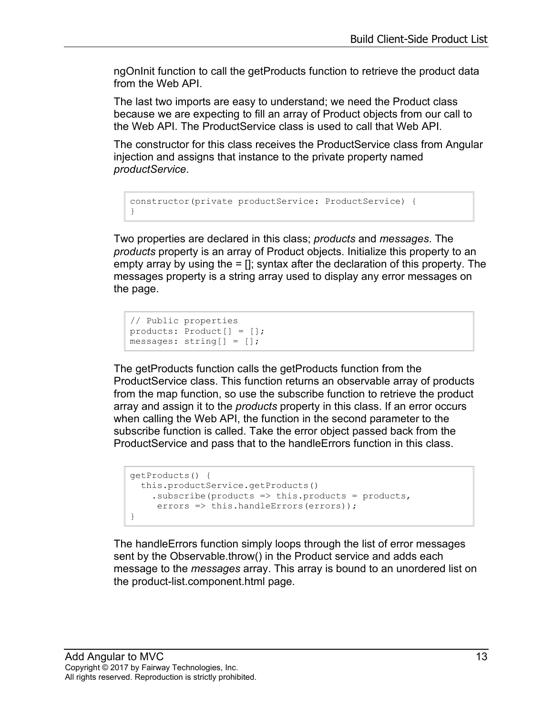ngOnInit function to call the getProducts function to retrieve the product data from the Web API.

The last two imports are easy to understand; we need the Product class because we are expecting to fill an array of Product objects from our call to the Web API. The ProductService class is used to call that Web API.

The constructor for this class receives the ProductService class from Angular injection and assigns that instance to the private property named *productService*.

```
constructor(private productService: ProductService) {
}
```
Two properties are declared in this class; *products* and *messages*. The *products* property is an array of Product objects. Initialize this property to an empty array by using the  $=$   $\eta$ ; syntax after the declaration of this property. The messages property is a string array used to display any error messages on the page.

```
// Public properties
products: Product[] = [];
messages: string[] = [];
```
The getProducts function calls the getProducts function from the ProductService class. This function returns an observable array of products from the map function, so use the subscribe function to retrieve the product array and assign it to the *products* property in this class. If an error occurs when calling the Web API, the function in the second parameter to the subscribe function is called. Take the error object passed back from the ProductService and pass that to the handleErrors function in this class.

```
getProducts() {
 this.productService.getProducts()
   .subscribe(products => this.products = products,
    errors => this.handleErrors(errors));
}
```
The handleErrors function simply loops through the list of error messages sent by the Observable.throw() in the Product service and adds each message to the *messages* array. This array is bound to an unordered list on the product-list.component.html page.